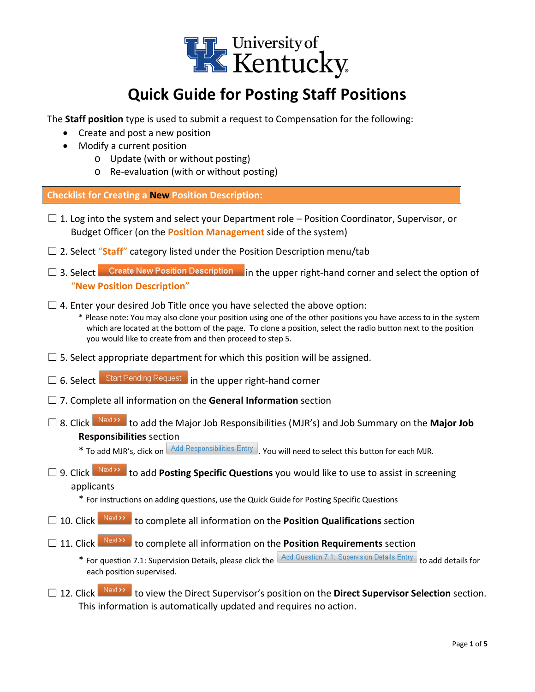

# **Quick Guide for Posting Staff Positions**

The **Staff position** type is used to submit a request to Compensation for the following:

- Create and post a new position
- Modify a current position
	- o Update (with or without posting)
	- o Re-evaluation (with or without posting)

#### **Checklist for Creating a New Position Description:**

- $\square$  1. Log into the system and select your Department role Position Coordinator, Supervisor, or Budget Officer (on the **Position Management** side of the system)
- □ 2. Select "**Staff**" category listed under the Position Description menu/tab
- □ 3. Select Create New Position Description in the upper right-hand corner and select the option of "**New Position Description**"
- $\Box$  4. Enter your desired Job Title once you have selected the above option:

\* Please note: You may also clone your position using one of the other positions you have access to in the system which are located at the bottom of the page. To clone a position, select the radio button next to the position you would like to create from and then proceed to step 5.

- $\Box$  5. Select appropriate department for which this position will be assigned.
- □ 6. Select Start Pending Request in the upper right-hand corner
- ☐ 7. Complete all information on the **General Information** section
- □ 8. Click Next>> to add the Major Job Responsibilities (MJR's) and Job Summary on the Major Job **Responsibilities** section

 $*$  To add MJR's, click on  $\sqrt{4}$  Responsibilities Entry  $\sqrt{2}$  You will need to select this button for each MJR.

- □ 9. Click Next<sup>33</sup> to add **Posting Specific Questions** you would like to use to assist in screening applicants
	- \* For instructions on adding questions, use the Quick Guide for Posting Specific Questions
- □ 10. Click Next>> to complete all information on the **Position Qualifications** section
- □ 11. Click Next>> to complete all information on the **Position Requirements** section
	- \* For question 7.1: Supervision Details, please click the Add Question 7.1: Supervision Details Entry to add details for each position supervised.
- □ 12. Click Next>> to view the Direct Supervisor's position on the Direct Supervisor Selection section. This information is automatically updated and requires no action.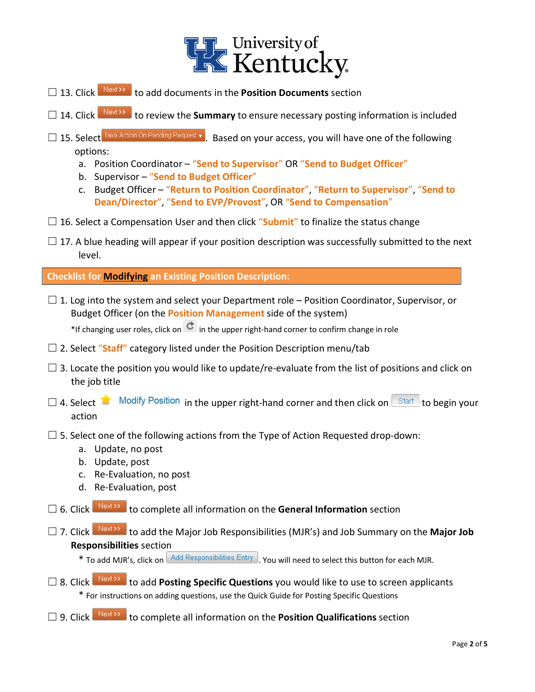

- □ 13. Click Next>> to add documents in the **Position Documents** section
- □ 14. Click Next>>> to review the **Summary** to ensure necessary posting information is included
- □ 15. Select Take Action On Pending Request v . Based on your access, you will have one of the following options:
	- a. Position Coordinator "**Send to Supervisor**" OR "**Send to Budget Officer**"
	- b. Supervisor "**Send to Budget Officer**"
	- c. Budget Officer "**Return to Position Coordinator**", "**Return to Supervisor**", "**Send to Dean/Director**", "**Send to EVP/Provost**", OR "**Send to Compensation**"
- $\Box$  16. Select a Compensation User and then click "**Submit**" to finalize the status change
- $\Box$  17. A blue heading will appear if your position description was successfully submitted to the next level.

**Checklist for Modifying an Existing Position Description:**

 $\square$  1. Log into the system and select your Department role – Position Coordinator, Supervisor, or Budget Officer (on the **Position Management** side of the system)

\*If changing user roles, click on  $\left| \mathbf{C} \right|$  in the upper right-hand corner to confirm change in role

- □ 2. Select "**Staff**" category listed under the Position Description menu/tab
- $\square$  3. Locate the position you would like to update/re-evaluate from the list of positions and click on the job title
- $\Box$  4. Select **in the upper right-hand corner and then click on**  $\Box$  and to begin your action
- $\Box$  5. Select one of the following actions from the Type of Action Requested drop-down:
	- a. Update, no post
	- b. Update, post
	- c. Re-Evaluation, no post
	- d. Re-Evaluation, post
- □ 6. Click Next<sup>33</sup> to complete all information on the General Information section
- □ 7. Click Next<sup>33</sup> to add the Major Job Responsibilities (MJR's) and Job Summary on the Major Job **Responsibilities** section
	- \* To add MJR's, click on  $\Box$  Add Responsibilities Entry  $\Box$  You will need to select this button for each MJR.
- □ 8. Click Next<sup>333</sup> to add **Posting Specific Questions** you would like to use to screen applicants \* For instructions on adding questions, use the Quick Guide for Posting Specific Questions
- □ 9. Click Next<sup>33</sup> to complete all information on the **Position Qualifications** section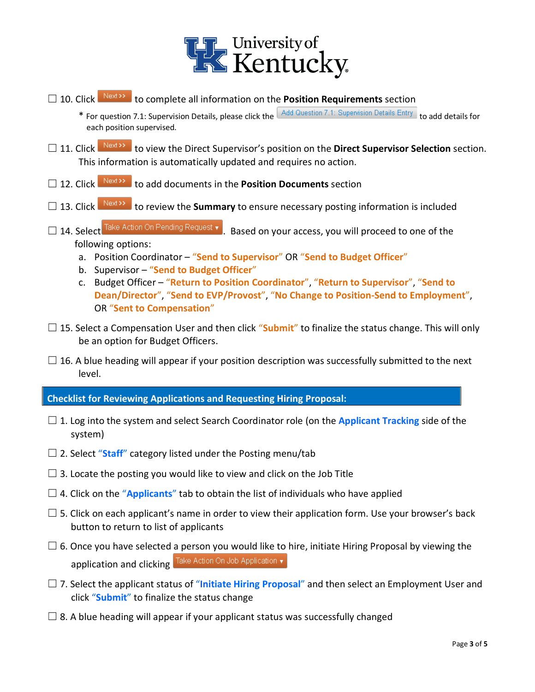

- □ 10. Click Next>> to complete all information on the **Position Requirements** section
	- \* For question 7.1: Supervision Details, please click the Add Question 7.1: Supervision Details Entry to add details for each position supervised.
- □ 11. Click Next>> to view the Direct Supervisor's position on the Direct Supervisor Selection section. This information is automatically updated and requires no action.
- □ 12. Click Next<sup>22</sup> to add documents in the Position Documents section
- □ 13. Click Next>> to review the **Summary** to ensure necessary posting information is included
- □ 14. Select Take Action On Pending Request  $\bullet$  . Based on your access, you will proceed to one of the following options:
	- a. Position Coordinator "**Send to Supervisor**" OR "**Send to Budget Officer**"
	- b. Supervisor "**Send to Budget Officer**"
	- c. Budget Officer "**Return to Position Coordinator**", "**Return to Supervisor**", "**Send to Dean/Director**", "**Send to EVP/Provost**", "**No Change to Position-Send to Employment**", OR "**Sent to Compensation**"
- $\Box$  15. Select a Compensation User and then click "**Submit**" to finalize the status change. This will only be an option for Budget Officers.
- $\Box$  16. A blue heading will appear if your position description was successfully submitted to the next level.

**Checklist for Reviewing Applications and Requesting Hiring Proposal:**

- □ 1. Log into the system and select Search Coordinator role (on the **Applicant Tracking** side of the system)
- $\Box$  2. Select "**Staff**" category listed under the Posting menu/tab
- $\Box$  3. Locate the posting you would like to view and click on the Job Title
- $\Box$  4. Click on the "Applicants" tab to obtain the list of individuals who have applied
- $\Box$  5. Click on each applicant's name in order to view their application form. Use your browser's back button to return to list of applicants
- $\Box$  6. Once you have selected a person you would like to hire, initiate Hiring Proposal by viewing the application and clicking Take Action On Job Application  $\overline{\mathbf{v}}$
- ☐ 7. Select the applicant status of "**Initiate Hiring Proposal**" and then select an Employment User and click "**Submit**" to finalize the status change
- $\Box$  8. A blue heading will appear if your applicant status was successfully changed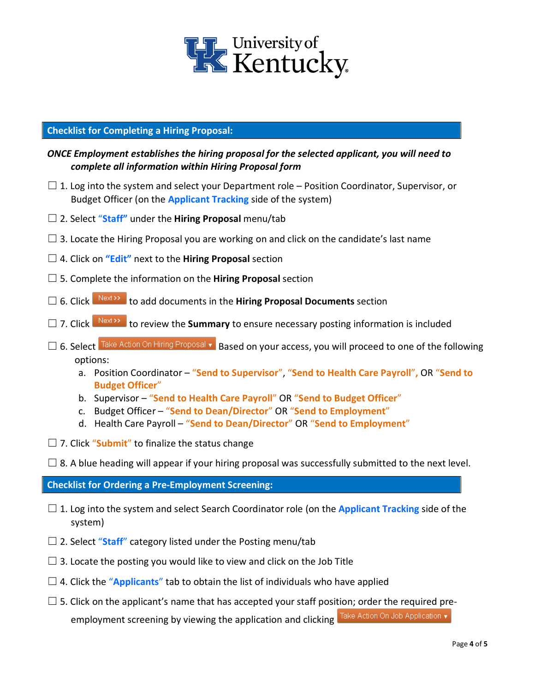

### **Checklist for Completing a Hiring Proposal:**

## *ONCE Employment establishes the hiring proposal for the selected applicant, you will need to complete all information within Hiring Proposal form*

- $\square$  1. Log into the system and select your Department role Position Coordinator, Supervisor, or Budget Officer (on the **Applicant Tracking** side of the system)
- ☐ 2. Select "**Staff"** under the **Hiring Proposal** menu/tab
- $\Box$  3. Locate the Hiring Proposal you are working on and click on the candidate's last name
- ☐ 4. Click on **"Edit"** next to the **Hiring Proposal** section
- ☐ 5. Complete the information on the **Hiring Proposal** section
- □ 6. Click  $\frac{\text{Next } \rightarrow \text{To add documents in the Hiring$  **Proposal Documents** section
- □ 7. Click Next>> to review the **Summary** to ensure necessary posting information is included
- □ 6. Select **Take Action On Hiring Proposal v** Based on your access, you will proceed to one of the following options:
	- a. Position Coordinator "**Send to Supervisor**", "**Send to Health Care Payroll**"**,** OR "**Send to Budget Officer**"
	- b. Supervisor "**Send to Health Care Payroll**" OR "**Send to Budget Officer**"
	- c. Budget Officer "**Send to Dean/Director**" OR "**Send to Employment**"
	- d. Health Care Payroll "**Send to Dean/Director**" OR "**Send to Employment**"
- $\Box$  7. Click "**Submit**" to finalize the status change
- $\square$  8. A blue heading will appear if your hiring proposal was successfully submitted to the next level.

**Checklist for Ordering a Pre-Employment Screening:**

- □ 1. Log into the system and select Search Coordinator role (on the **Applicant Tracking** side of the system)
- ☐ 2. Select "**Staff**" category listed under the Posting menu/tab
- $\Box$  3. Locate the posting you would like to view and click on the Job Title
- $\Box$  4. Click the "**Applicants**" tab to obtain the list of individuals who have applied
- $\square$  5. Click on the applicant's name that has accepted your staff position; order the required preemployment screening by viewing the application and clicking Take Action On Job Application  $\overline{\mathbf{v}}$